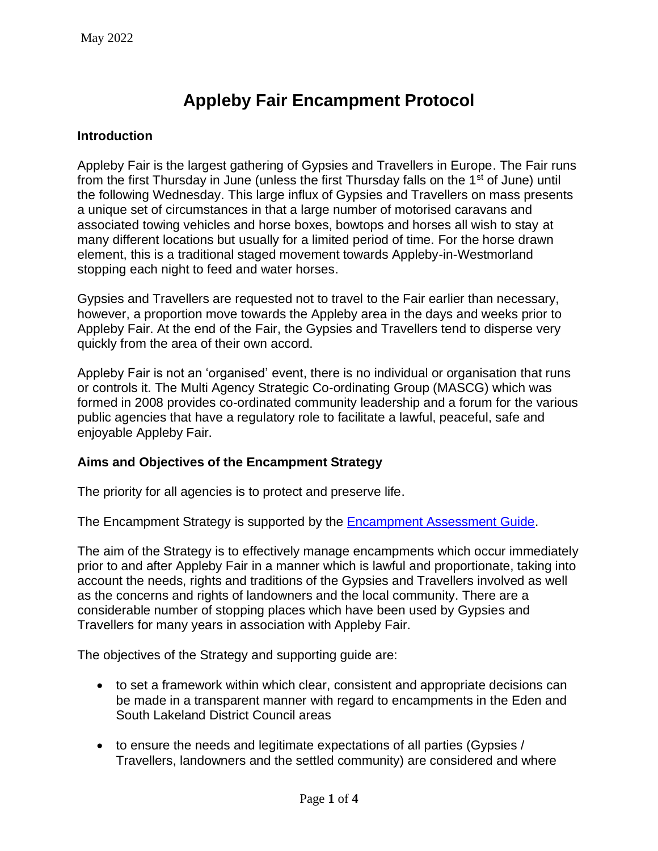# **Appleby Fair Encampment Protocol**

#### **Introduction**

Appleby Fair is the largest gathering of Gypsies and Travellers in Europe. The Fair runs from the first Thursday in June (unless the first Thursday falls on the 1<sup>st</sup> of June) until the following Wednesday. This large influx of Gypsies and Travellers on mass presents a unique set of circumstances in that a large number of motorised caravans and associated towing vehicles and horse boxes, bowtops and horses all wish to stay at many different locations but usually for a limited period of time. For the horse drawn element, this is a traditional staged movement towards Appleby-in-Westmorland stopping each night to feed and water horses.

Gypsies and Travellers are requested not to travel to the Fair earlier than necessary, however, a proportion move towards the Appleby area in the days and weeks prior to Appleby Fair. At the end of the Fair, the Gypsies and Travellers tend to disperse very quickly from the area of their own accord.

Appleby Fair is not an 'organised' event, there is no individual or organisation that runs or controls it. The Multi Agency Strategic Co-ordinating Group (MASCG) which was formed in 2008 provides co-ordinated community leadership and a forum for the various public agencies that have a regulatory role to facilitate a lawful, peaceful, safe and enjoyable Appleby Fair.

#### **Aims and Objectives of the Encampment Strategy**

The priority for all agencies is to protect and preserve life.

The Encampment Strategy is supported by the [Encampment Assessment Guide.](#page-1-0)

The aim of the Strategy is to effectively manage encampments which occur immediately prior to and after Appleby Fair in a manner which is lawful and proportionate, taking into account the needs, rights and traditions of the Gypsies and Travellers involved as well as the concerns and rights of landowners and the local community. There are a considerable number of stopping places which have been used by Gypsies and Travellers for many years in association with Appleby Fair.

The objectives of the Strategy and supporting guide are:

- to set a framework within which clear, consistent and appropriate decisions can be made in a transparent manner with regard to encampments in the Eden and South Lakeland District Council areas
- to ensure the needs and legitimate expectations of all parties (Gypsies / Travellers, landowners and the settled community) are considered and where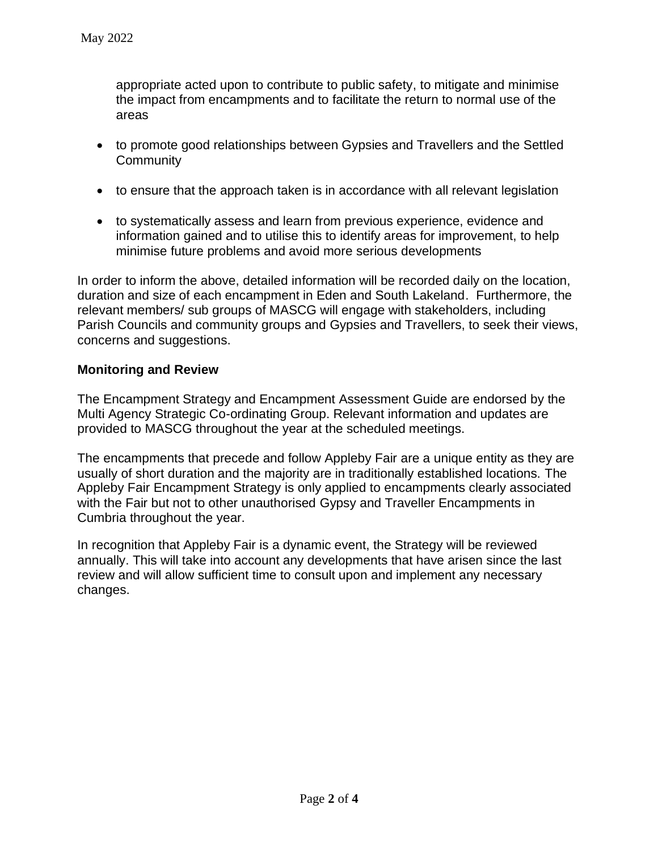appropriate acted upon to contribute to public safety, to mitigate and minimise the impact from encampments and to facilitate the return to normal use of the areas

- to promote good relationships between Gypsies and Travellers and the Settled **Community**
- to ensure that the approach taken is in accordance with all relevant legislation
- to systematically assess and learn from previous experience, evidence and information gained and to utilise this to identify areas for improvement, to help minimise future problems and avoid more serious developments

In order to inform the above, detailed information will be recorded daily on the location, duration and size of each encampment in Eden and South Lakeland. Furthermore, the relevant members/ sub groups of MASCG will engage with stakeholders, including Parish Councils and community groups and Gypsies and Travellers, to seek their views, concerns and suggestions.

### **Monitoring and Review**

The Encampment Strategy and Encampment Assessment Guide are endorsed by the Multi Agency Strategic Co-ordinating Group. Relevant information and updates are provided to MASCG throughout the year at the scheduled meetings.

The encampments that precede and follow Appleby Fair are a unique entity as they are usually of short duration and the majority are in traditionally established locations. The Appleby Fair Encampment Strategy is only applied to encampments clearly associated with the Fair but not to other unauthorised Gypsy and Traveller Encampments in Cumbria throughout the year.

<span id="page-1-0"></span>In recognition that Appleby Fair is a dynamic event, the Strategy will be reviewed annually. This will take into account any developments that have arisen since the last review and will allow sufficient time to consult upon and implement any necessary changes.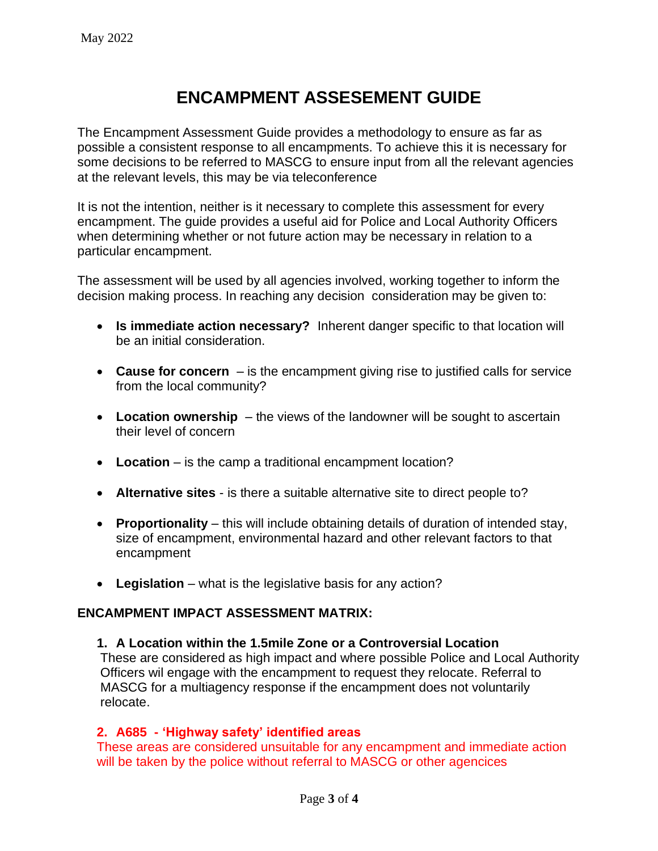## **ENCAMPMENT ASSESEMENT GUIDE**

The Encampment Assessment Guide provides a methodology to ensure as far as possible a consistent response to all encampments. To achieve this it is necessary for some decisions to be referred to MASCG to ensure input from all the relevant agencies at the relevant levels, this may be via teleconference

It is not the intention, neither is it necessary to complete this assessment for every encampment. The guide provides a useful aid for Police and Local Authority Officers when determining whether or not future action may be necessary in relation to a particular encampment.

The assessment will be used by all agencies involved, working together to inform the decision making process. In reaching any decision consideration may be given to:

- **Is immediate action necessary?** Inherent danger specific to that location will be an initial consideration.
- **Cause for concern** is the encampment giving rise to justified calls for service from the local community?
- **Location ownership** the views of the landowner will be sought to ascertain their level of concern
- **Location** is the camp a traditional encampment location?
- **Alternative sites** is there a suitable alternative site to direct people to?
- **Proportionality** this will include obtaining details of duration of intended stay, size of encampment, environmental hazard and other relevant factors to that encampment
- **Legislation** what is the legislative basis for any action?

#### **ENCAMPMENT IMPACT ASSESSMENT MATRIX:**

#### **1. A Location within the 1.5mile Zone or a Controversial Location**

These are considered as high impact and where possible Police and Local Authority Officers wil engage with the encampment to request they relocate. Referral to MASCG for a multiagency response if the encampment does not voluntarily relocate.

#### **2. A685 - 'Highway safety' identified areas**

These areas are considered unsuitable for any encampment and immediate action will be taken by the police without referral to MASCG or other agencices